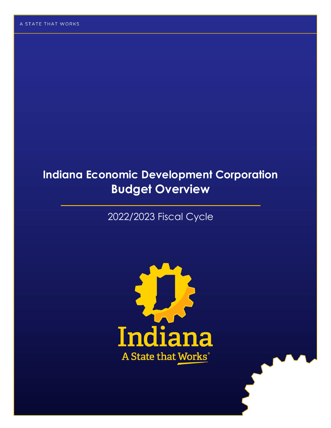# **Indiana Economic Development Corporation Budget Overview**

# 2022/2023 Fiscal Cycle

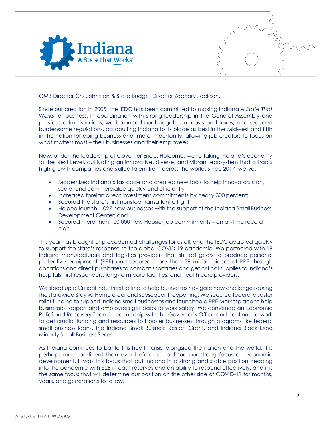

OMB Director Cris Johnston & State Budget Director Zachary Jackson,

Since our creation in 2005, the IEDC has been committed to making Indiana *A State That Works* for business. In coordination with strong leadership in the General Assembly and previous administrations, we balanced our budgets, cut costs and taxes, and reduced burdensome regulations, catapulting Indiana to its place as best in the Midwest and fifth in the nation for doing business and, more importantly, allowing job creators to focus on what matters most – their businesses and their employees.

Now, under the leadership of Governor Eric J. Holcomb, we're taking Indiana's economy to the Next Level, cultivating an innovative, diverse, and vibrant ecosystem that attracts high-growth companies and skilled talent from across the world. Since 2017, we've:

- Modernized Indiana's tax code and created new tools to help innovators start, scale, and commercialize quickly and efficiently;
- Increased foreign direct investment commitments by nearly 300 percent;
- Secured the state's first nonstop transatlantic flight;
- Helped launch 1,027 new businesses with the support of the Indiana SmallBusiness Development Center; and
- Secured more than 100,000 new Hoosier job commitments an all-time record high.

This year has brought unprecedented challenges for us all, and the IEDC adapted quickly to support the state's response to the global COVID-19 pandemic. We partnered with 18 Indiana manufacturers and logistics providers that shifted gears to produce personal protective equipment (PPE) and secured more than 38 million pieces of PPE through donations and direct purchases to combat shortages and get critical supplies to Indiana's hospitals, first responders, long-term care facilities, and health care providers.

We stood up a Critical Industries Hotline to help businesses navigate new challenges during the statewide Stay At Home order and subsequent reopening. We secured federal disaster relief funding to support Indiana small businesses and launched a PPE Marketplace to help businesses reopen and employees get back to work safely. We convened an Economic Relief and Recovery Team in partnership with the Governor's Office and continue to work to get crucial funding and resources to Hoosier businesses through programs like federal small business loans, the Indiana Small Business Restart Grant, and Indiana Black Expo Minority Small Business Series.

As Indiana continues to battle this health crisis, alongside the nation and the world, it is perhaps more pertinent than ever before to continue our strong focus on economic development. It was this focus that put Indiana in a strong and stable position heading into the pandemic with \$2B in cash reserves and an ability to respond effectively, and it is the same focus that will determine our position on the other side of COVID-19 for months, years, and generations to follow.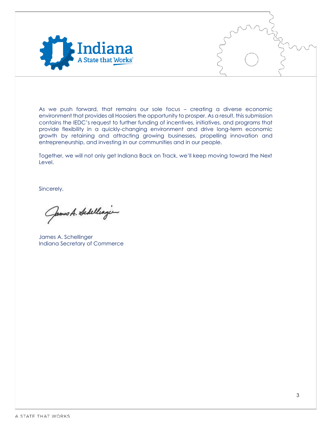

As we push forward, that remains our sole focus – creating a diverse economic environment that provides all Hoosiers the opportunity to prosper. As a result, this submission contains the IEDC's request to further funding of incentives, initiatives, and programs that provide flexibility in a quickly-changing environment and drive long-term economic growth by retaining and attracting growing businesses, propelling innovation and entrepreneurship, and investing in our communities and in our people.

Together, we will not only get Indiana Back on Track, we'll keep moving toward the Next Level.

Sincerely,

James A. Schellingen

James A. Schellinger Indiana Secretary of Commerce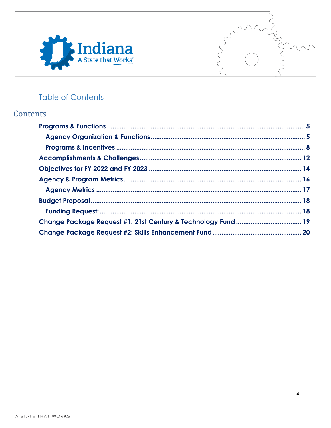



# **Table of Contents**

# Contents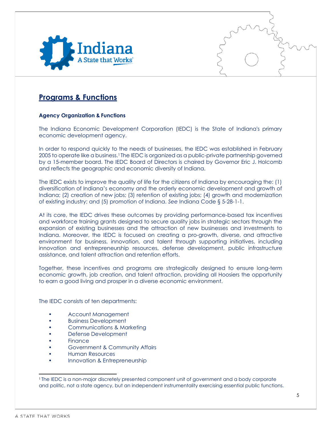

### <span id="page-4-0"></span>**Programs & Functions**

#### <span id="page-4-1"></span>**Agency Organization & Functions**

The Indiana Economic Development Corporation (IEDC) is the State of Indiana's primary economic development agency.

In order to respond quickly to the needs of businesses, the IEDC was established in February 2005 to operate like a business.1 The IEDC is organized as a public-private partnership governed by a 15-member board. The IEDC Board of Directors is chaired by Governor Eric J. Holcomb and reflects the geographic and economic diversity of Indiana.

The IEDC exists to improve the quality of life for the citizens of Indiana by encouraging the: (1) diversification of Indiana's economy and the orderly economic development and growth of Indiana; (2) creation of new jobs; (3) retention of existing jobs; (4) growth and modernization of existing industry; and (5) promotion of Indiana. *See* Indiana Code § 5-28-1-1.

At its core, the IEDC drives these outcomes by providing performance-based tax incentives and workforce training grants designed to secure quality jobs in strategic sectors through the expansion of existing businesses and the attraction of new businesses and investments to Indiana. Moreover, the IEDC is focused on creating a pro-growth, diverse, and attractive environment for business, innovation, and talent through supporting initiatives, including innovation and entrepreneurship resources, defense development, public infrastructure assistance, and talent attraction and retention efforts.

Together, these incentives and programs are strategically designed to ensure long-term economic growth, job creation, and talent attraction, providing all Hoosiers the opportunity to earn a good living and prosper in a diverse economic environment.

The IEDC consists of ten departments:

- Account Management
- Business Development
- Communications & Marketing
- Defense Development
- **Finance**
- Government & Community Affairs
- Human Resources
- Innovation & Entrepreneurship

<sup>1</sup>The IEDC is a non-major discretely presented component unit of government and a body corporate and politic, not a state agency, but an independent instrumentality exercising essential public functions.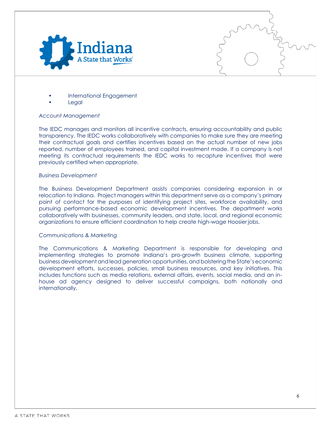

- International Engagement
- **Legal**

#### *Account Management*

The IEDC manages and monitors all incentive contracts, ensuring accountability and public transparency. The IEDC works collaboratively with companies to make sure they are meeting their contractual goals and certifies incentives based on the actual number of new jobs reported, number of employees trained, and capital investment made. If a company is not meeting its contractual requirements the IEDC works to recapture incentives that were previously certified when appropriate.

#### *Business Development*

The Business Development Department assists companies considering expansion in or relocation to Indiana. Project managers within this department serve as a company's primary point of contact for the purposes of identifying project sites, workforce availability, and pursuing performance-based economic development incentives. The department works collaboratively with businesses, community leaders, and state, local, and regional economic organizations to ensure efficient coordination to help create high-wage Hoosier jobs.

#### *Communications & Marketing*

The Communications & Marketing Department is responsible for developing and implementing strategies to promote Indiana's pro-growth business climate, supporting business development andlead generation opportunities, and bolstering the State's economic development efforts, successes, policies, small business resources, and key initiatives. This includes functions such as media relations, external affairs, events, social media, and an inhouse ad agency designed to deliver successful campaigns, both nationally and internationally.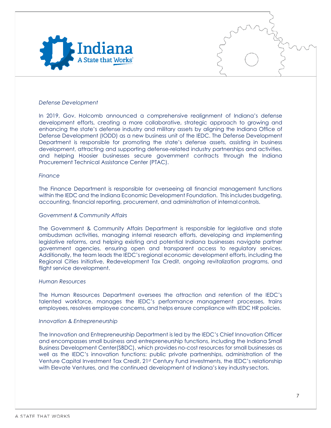

#### *Defense Development*

In 2019, Gov. Holcomb announced a comprehensive realignment of Indiana's defense development efforts, creating a more collaborative, strategic approach to growing and enhancing the state's defense industry and military assets by aligning the Indiana Office of Defense Development (IODD) as a new business unit of the IEDC. The Defense Development Department is responsible for promoting the state's defense assets, assisting in business development, attracting and supporting defense-related industry partnerships and activities. and helping Hoosier businesses secure government contracts through the Indiana Procurement Technical Assistance Center (PTAC).

#### *Finance*

The Finance Department is responsible for overseeing all financial management functions within the IEDC and the Indiana Economic Development Foundation. This includes budgeting, accounting, financial reporting, procurement, and administration of internalcontrols.

#### *Government & Community Affairs*

The Government & Community Affairs Department is responsible for legislative and state ombudsman activities, managing internal research efforts, developing and implementing legislative reforms, and helping existing and potential Indiana businesses navigate partner government agencies, ensuring open and transparent access to regulatory services. Additionally, the team leads the IEDC's regional economic development efforts, including the Regional Cities Initiative, Redevelopment Tax Credit, ongoing revitalization programs, and flight service development.

#### *Human Resources*

The Human Resources Department oversees the attraction and retention of the IEDC's talented workforce, manages the IEDC's performance management processes, trains employees, resolves employee concerns, and helps ensure compliance with IEDC HR policies.

#### *Innovation & Entrepreneurship*

The Innovation and Entrepreneurship Department is led by the IEDC's Chief Innovation Officer and encompasses small business and entrepreneurship functions, including the Indiana Small Business Development Center(SBDC), which provides no-cost resources for small businesses as well as the IEDC's innovation functions: public private partnerships, administration of the Venture Capital Investment Tax Credit, 21st Century Fund investments, the IEDC's relationship with Elevate Ventures, and the continued development of Indiana's key industry sectors.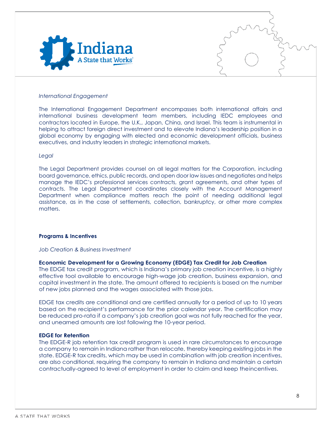

#### *International Engagement*

The International Engagement Department encompasses both international affairs and international business development team members, including IEDC employees and contractors located in Europe, the U.K., Japan, China, and Israel. This team is instrumental in helping to attract foreign direct investment and to elevate Indiana's leadership position in a global economy by engaging with elected and economic development officials, business executives, and industry leaders in strategic international markets.

#### *Legal*

The Legal Department provides counsel on all legal matters for the Corporation, including board governance, ethics, public records, and open door law issues and negotiates and helps manage the IEDC's professional services contracts, grant agreements, and other types of contracts. The Legal Department coordinates closely with the Account Management Department when compliance matters reach the point of needing additional legal assistance, as in the case of settlements, collection, bankruptcy, or other more complex matters.

#### <span id="page-7-0"></span>**Programs & Incentives**

#### *Job Creation & Business Investment*

#### **Economic Development for a Growing Economy (EDGE) Tax Credit for Job Creation**

The EDGE tax credit program, which is Indiana's primary job creation incentive, is a highly effective tool available to encourage high-wage job creation, business expansion, and capital investment in the state. The amount offered to recipients is based on the number of new jobs planned and the wages associated with those jobs.

EDGE tax credits are conditional and are certified annually for a period of up to 10 years based on the recipient's performance for the prior calendar year. The certification may be reduced pro-rata if a company's job creation goal was not fully reached for the year, and unearned amounts are lost following the 10-year period.

#### **EDGE for Retention**

The EDGE-R job retention tax credit program is used in rare circumstances to encourage a company to remain in Indiana rather than relocate, thereby keeping existing jobs in the state. EDGE-R tax credits, which may be used in combination with job creation incentives, are also conditional, requiring the company to remain in Indiana and maintain a certain contractually-agreed to level of employment in order to claim and keep theincentives.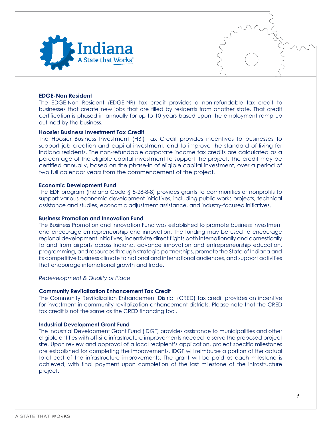

#### **EDGE-Non Resident**

The EDGE-Non Resident (EDGE-NR) tax credit provides a non-refundable tax credit to businesses that create new jobs that are filled by residents from another state. That credit certification is phased in annually for up to 10 years based upon the employment ramp up outlined by the business.

#### **Hoosier Business Investment Tax Credit**

The Hoosier Business Investment (HBI) Tax Credit provides incentives to businesses to support job creation and capital investment, and to improve the standard of living for Indiana residents. The non-refundable corporate income tax credits are calculated as a percentage of the eligible capital investment to support the project. The credit may be certified annually, based on the phase-in of eligible capital investment, over a period of two full calendar years from the commencement of the project.

#### **Economic Development Fund**

The EDF program (Indiana Code § 5-28-8-8) provides grants to communities or nonprofits to support various economic development initiatives, including public works projects, technical assistance and studies, economic adjustment assistance, and industry-focused initiatives.

#### **Business Promotion and Innovation Fund**

The Business Promotion and Innovation Fund was established to promote business investment and encourage entrepreneurship and innovation. The funding may be used to encourage regional development initiatives, incentivize direct flights both internationally and domestically to and from airports across Indiana, advance innovation and entrepreneurship education, programming, and resources through strategic partnerships, promote the State of Indiana and its competitive business climate to national and international audiences, and support activities that encourage international growth and trade.

#### *Redevelopment & Quality of Place*

#### **Community Revitalization Enhancement Tax Credit**

The Community Revitalization Enhancement District (CRED) tax credit provides an incentive for investment in community revitalization enhancement districts. Please note that the CRED tax credit is not the same as the CRED financing tool.

#### **Industrial Development Grant Fund**

The Industrial Development Grant Fund (IDGF) provides assistance to municipalities and other eligible entities with off-site infrastructure improvements needed to serve the proposed project site. Upon review and approval of a local recipient's application, project specific milestones are established for completing the improvements. IDGF will reimburse a portion of the actual total cost of the infrastructure improvements. The grant will be paid as each milestone is achieved, with final payment upon completion of the last milestone of the infrastructure project.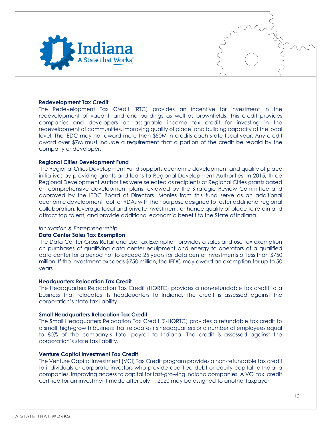

#### **Redevelopment Tax Credit**

The Redevelopment Tax Credit (RTC) provides an incentive for investment in the redevelopment of vacant land and buildings as well as brownfields. This credit provides companies and developers an assignable income tax credit for investing in the redevelopment of communities, improving quality of place, and building capacity at the local level. The IEDC may not award more than \$50M in credits each state fiscal year. Any credit award over \$7M must include a requirement that a portion of the credit be repaid by the company or developer.

#### **Regional Cities Development Fund**

The Regional Cities Development Fund supports economic development and quality of place initiatives by providing grants and loans to Regional Development Authorities. In 2015, three Regional Development Authorities were selected as recipients of Regional Cities grants based on comprehensive development plans reviewed by the Strategic Review Committee and approved by the IEDC Board of Directors. Monies from this fund serve as an additional economic development tool for RDAs with their purpose designed to foster additional regional collaboration, leverage local and private investment, enhance quality of place to retain and attract top talent, and provide additional economic benefit to the State of Indiana.

#### *Innovation & Entrepreneurship*

#### **Data Center Sales Tax Exemption**

The Data Center Gross Retail and Use Tax Exemption provides a sales and use tax exemption on purchases of qualifying data center equipment and energy to operators of a qualified data center for a period not to exceed 25 years for data center investments of less than \$750 million. If the investment exceeds \$750 million, the IEDC may award an exemption for up to 50 years.

#### **Headquarters Relocation Tax Credit**

The Headquarters Relocation Tax Credit (HQRTC) provides a non-refundable tax credit to a business that relocates its headquarters to Indiana. The credit is assessed against the corporation's state tax liability.

#### **Small Headquarters Relocation Tax Credit**

The Small Headquarters Relocation Tax Credit (S-HQRTC) provides a refundable tax credit to a small, high-growth business that relocates its headquarters or a number of employees equal to 80% of the company's total payroll to Indiana. The credit is assessed against the corporation's state tax liability.

#### **Venture Capital Investment Tax Credit**

The Venture Capital Investment (VCI) Tax Credit program provides a non-refundable tax credit to individuals or corporate investors who provide qualified debt or equity capital to Indiana companies, improving access to capital for fast-growing Indiana companies. A VCI tax credit certified for an investment made after July 1, 2020 may be assigned to anothertaxpayer.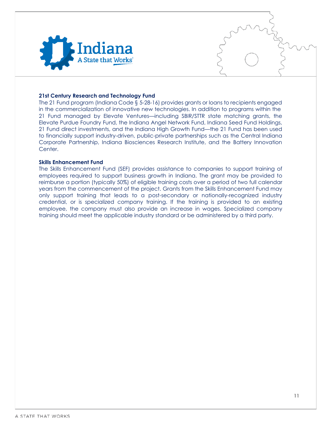

#### **21st Century Research and Technology Fund**

The 21 Fund program (Indiana Code § 5-28-16) provides grants or loans to recipients engaged in the commercialization of innovative new technologies. In addition to programs within the 21 Fund managed by Elevate Ventures—including SBIR/STTR state matching grants, the Elevate Purdue Foundry Fund, the Indiana Angel Network Fund, Indiana Seed Fund Holdings, 21 Fund direct investments, and the Indiana High Growth Fund—the 21 Fund has been used to financially support industry-driven, public-private partnerships such as the Central Indiana Corporate Partnership, Indiana Biosciences Research Institute, and the Battery Innovation **Center** 

#### **Skills Enhancement Fund**

The Skills Enhancement Fund (SEF) provides assistance to companies to support training of employees required to support business growth in Indiana. The grant may be provided to reimburse a portion (typically 50%) of eligible training costs over a period of two full calendar years from the commencement of the project. Grants from the Skills Enhancement Fund may only support training that leads to a post-secondary or nationally-recognized industry credential, or is specialized company training. If the training is provided to an existing employee, the company must also provide an increase in wages. Specialized company training should meet the applicable industry standard or be administered by a third party.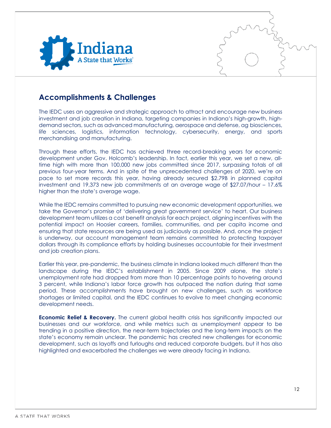

## <span id="page-11-0"></span>**Accomplishments & Challenges**

The IEDC uses an aggressive and strategic approach to attract and encourage new business investment and job creation in Indiana, targeting companies in Indiana's high-growth, highdemand sectors, such as advanced manufacturing, aerospace and defense, ag biosciences, life sciences, logistics, information technology, cybersecurity, energy, and sports merchandising and manufacturing.

Through these efforts, the IEDC has achieved three record-breaking years for economic development under Gov. Holcomb's leadership. In fact, earlier this year, we set a new, alltime high with more than 100,000 new jobs committed since 2017, surpassing totals of all previous four-year terms. And in spite of the unprecedented challenges of 2020, we're on pace to set more records this year, having already secured \$2.79B in planned capital investment and 19,373 new job commitments at an average wage of \$27.07/hour – 17.6% higher than the state's average wage.

While the IEDC remains committed to pursuing new economic development opportunities, we take the Governor's promise of 'delivering great government service' to heart. Our business development team utilizes a cost benefit analysis for each project, aligning incentives with the potential impact on Hoosier careers, families, communities, and per capita income and ensuring that state resources are being used as judiciously as possible. And, once the project is underway, our account management team remains committed to protecting taxpayer dollars through its compliance efforts by holding businesses accountable for their investment and job creation plans.

Earlier this year, pre-pandemic, the business climate in Indiana looked much different than the landscape during the IEDC's establishment in 2005. Since 2009 alone, the state's unemployment rate had dropped from more than 10 percentage points to hovering around 3 percent, while Indiana's labor force growth has outpaced the nation during that same period. These accomplishments have brought on new challenges, such as workforce shortages or limited capital, and the IEDC continues to evolve to meet changing economic development needs.

**Economic Relief & Recovery.** The current global health crisis has significantly impacted our businesses and our workforce, and while metrics such as unemployment appear to be trending in a positive direction, the near-term trajectories and the long-term impacts on the state's economy remain unclear. The pandemic has created new challenges for economic development, such as layoffs and furloughs and reduced corporate budgets, but it has also highlighted and exacerbated the challenges we were already facing in Indiana.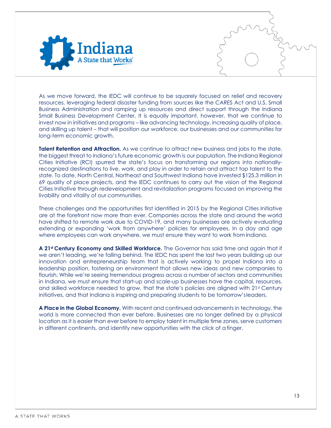

As we move forward, the IEDC will continue to be squarely focused on relief and recovery resources, leveraging federal disaster funding from sources like the CARES Act and U.S. Small Business Administration and ramping up resources and direct support through the Indiana Small Business Development Center. It is equally important, however, that we continue to invest now in initiatives and programs – like advancing technology, increasing quality of place, and skilling up talent – that will position our workforce, our businesses and our communities for long-term economic growth.

**Talent Retention and Attraction.** As we continue to attract new business and jobs to the state, the biggest threat to Indiana's future economic growth is our population. The Indiana Regional Cities Initiative (RCI) spurred the state's focus on transforming our regions into nationallyrecognized destinations to live, work, and play in order to retain and attract top talent to the state. To date, North Central, Northeast and Southwest Indiana have invested \$125.3 million in 69 quality of place projects, and the IEDC continues to carry out the vision of the Regional Cities Initiative through redevelopment and revitalization programs focused on improving the livability and vitality of our communities.

These challenges and the opportunities first identified in 2015 by the Regional Cities Initiative are at the forefront now more than ever. Companies across the state and around the world have shifted to remote work due to COVID-19, and many businesses are actively evaluating extending or expanding 'work from anywhere' policies for employees. In a day and age where employees can work anywhere, we must ensure they want to work from Indiana.

**A 21st Century Economy and Skilled Workforce.** The Governor has said time and again that if we aren't leading, we're falling behind. The IEDC has spent the last two years building up our innovation and entrepreneurship team that is actively working to propel Indiana into a leadership position, fostering an environment that allows new ideas and new companies to flourish. While we're seeing tremendous progress across a number of sectors and communities in Indiana, we must ensure that start-up and scale-up businesses have the capital, resources, and skilled workforce needed to grow, that the state's policies are aligned with 21st Century initiatives, and that Indiana is inspiring and preparing students to be tomorrow'sleaders.

**A Place in the Global Economy.** With recent and continued advancements in technology, the world is more connected than ever before. Businesses are no longer defined by a physical location as it is easier than ever before to employ talent in multiple time zones, serve customers in different continents, and identify new opportunities with the click of a finger.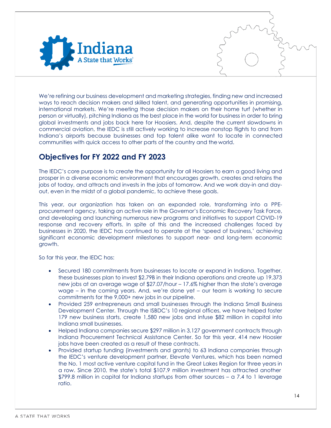

We're refining our business development and marketing strategies, finding new and increased ways to reach decision makers and skilled talent, and generating opportunities in promising, international markets. We're meeting those decision makers on their home turf (whether in person or virtually), pitching Indiana as the best place in the world for business in order to bring global investments and jobs back here for Hoosiers. And, despite the current slowdowns in commercial aviation, the IEDC is still actively working to increase nonstop flights to and from Indiana's airports because businesses and top talent alike want to locate in connected communities with quick access to other parts of the country and the world.

## <span id="page-13-0"></span>**Objectives for FY 2022 and FY 2023**

The IEDC's core purpose is to create the opportunity for all Hoosiers to earn a good living and prosper in a diverse economic environment that encourages growth, creates and retains the jobs of today, and attracts and invests in the jobs of tomorrow. And we work day-in and dayout, even in the midst of a global pandemic, to achieve these goals.

This year, our organization has taken on an expanded role, transforming into a PPEprocurement agency, taking an active role in the Governor's Economic Recovery Task Force, and developing and launching numerous new programs and initiatives to support COVID-19 response and recovery efforts. In spite of this and the increased challenges faced by businesses in 2020, the IEDC has continued to operate at the 'speed of business,' achieving significant economic development milestones to support near- and long-term economic growth.

So far this year, the IEDC has:

- Secured 180 commitments from businesses to locate or expand in Indiana. Together, these businesses plan to invest \$2.79B in their Indiana operations and create up 19,373 new jobs at an average wage of \$27.07/hour – 17.6% higher than the state's average wage – in the coming years. And, we're done yet – our team is working to secure commitments for the 9,000+ new jobs in our pipeline.
- Provided 259 entrepreneurs and small businesses through the Indiana Small Business Development Center. Through the ISBDC's 10 regional offices, we have helped foster 179 new business starts, create 1,580 new jobs and infuse \$82 million in capital into Indiana small businesses.
- Helped Indiana companies secure \$297 million in 3,127 government contracts through Indiana Procurement Technical Assistance Center. So far this year, 414 new Hoosier jobs have been created as a result of these contracts.
- Provided startup funding (investments and grants) to 63 Indiana companies through the IEDC's venture development partner, Elevate Ventures, which has been named the No. 1 most active venture capital fund in the Great Lakes Region for three years in a row. Since 2010, the state's total \$107.9 million investment has attracted another \$799.8 million in capital for Indiana startups from other sources – a 7.4 to 1 leverage ratio.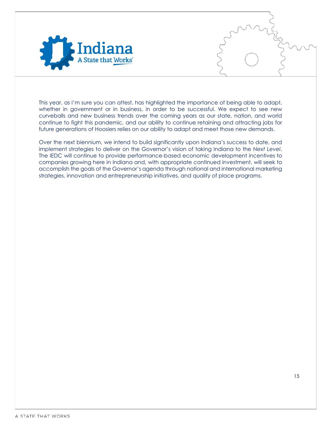

This year, as I'm sure you can attest, has highlighted the importance of being able to adapt, whether in government or in business, in order to be successful. We expect to see new curveballs and new business trends over the coming years as our state, nation, and world continue to fight this pandemic, and our ability to continue retaining and attracting jobs for future generations of Hoosiers relies on our ability to adapt and meet those new demands.

Over the next biennium, we intend to build significantly upon Indiana's success to date, and implement strategies to deliver on the Governor's vision of taking Indiana to the *Next Level*. The IEDC will continue to provide performance-based economic development incentives to companies growing here in Indiana and, with appropriate continued investment, will seek to accomplish the goals of the Governor's agenda through national and international marketing strategies, innovation and entrepreneurship initiatives, and quality of place programs.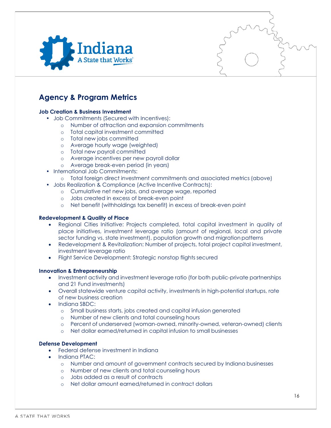

# <span id="page-15-0"></span>**Agency & Program Metrics**

#### **Job Creation & Business Investment**

- Job Commitments (Secured with Incentives):
	- o Number of attraction and expansion commitments
	- o Total capital investment committed
	- o Total new jobs committed
	- o Average hourly wage (weighted)
	- o Total new payroll committed
	- o Average incentives per new payroll dollar
	- o Average break-even period (in years)
- International Job Commitments:
	- o Total foreign direct investment commitments and associated metrics (above)
- Jobs Realization & Compliance (Active Incentive Contracts):
	- o Cumulative net new jobs, and average wage, reported
	- o Jobs created in excess of break-even point
	- o Net benefit (withholdings tax benefit) in excess of break-even point

#### **Redevelopment & Quality of Place**

- Regional Cities Initiative: Projects completed, total capital investment in quality of place initiatives, investment leverage ratio (amount of regional, local and private sector funding vs. state investment), population growth and migration patterns
- Redevelopment & Revitalization: Number of projects, total project capital investment, investment leverage ratio
- Flight Service Development: Strategic nonstop flights secured

#### **Innovation & Entrepreneurship**

- Investment activity and investment leverage ratio (for both public-private partnerships and 21 Fund investments)
- Overall statewide venture capital activity, investments in high-potential startups, rate of new business creation
- Indiana SBDC:
	- o Small business starts, jobs created and capital infusion generated
	- o Number of new clients and total counseling hours
	- o Percent of underserved (woman-owned, minority-owned, veteran-owned) clients
	- o Net dollar earned/returned in capital infusion to small businesses

#### **Defense Development**

- Federal defense investment in Indiana
- Indiana PTAC:
	- o Number and amount of government contracts secured by Indiana businesses
	- o Number of new clients and total counseling hours
	- o Jobs added as a result of contracts
	- o Net dollar amount earned/returned in contract dollars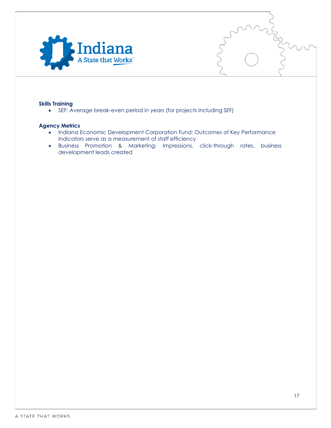

#### **Skills Training**

• SEF: Average break-even period in years (for projects including SEF)

#### <span id="page-16-0"></span>**Agency Metrics**

- Indiana Economic Development Corporation Fund: Outcomes of Key Performance Indicators serve as a measurement of staff efficiency
- Business Promotion & Marketing: Impressions, click-through rates, business development leads created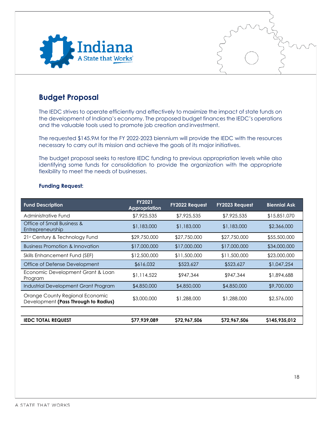

## <span id="page-17-0"></span>**Budget Proposal**

The IEDC strives to operate efficiently and effectively to maximize the impact of state funds on the development of Indiana's economy. The proposed budget finances the IEDC's operations and the valuable tools used to promote job creation and investment.

The requested \$145.9M for the FY 2022-2023 biennium will provide the IEDC with the resources necessary to carry out its mission and achieve the goals of its major initiatives.

The budget proposal seeks to restore IEDC funding to previous appropriation levels while also identifying some funds for consolidation to provide the organization with the appropriate flexibility to meet the needs of businesses.

<span id="page-17-1"></span>

| <b>Fund Description</b>                                                 | <b>FY2021</b><br>Appropriation | <b>FY2022 Request</b> | <b>FY2023 Request</b> | <b>Biennial Ask</b> |
|-------------------------------------------------------------------------|--------------------------------|-----------------------|-----------------------|---------------------|
| Administrative Fund                                                     | \$7,925,535                    | \$7,925,535           | \$7,925,535           | \$15,851,070        |
| Office of Small Business &<br>Entrepreneurship                          | \$1,183,000                    | \$1,183,000           | \$1,183,000           | \$2,366,000         |
| 21st Century & Technology Fund                                          | \$29,750,000                   | \$27,750,000          | \$27,750,000          | \$55,500,000        |
| <b>Business Promotion &amp; Innovation</b>                              | \$17,000,000                   | \$17,000,000          | \$17,000,000          | \$34,000,000        |
| Skills Enhancement Fund (SEF)                                           | \$12,500,000                   | \$11,500,000          | \$11,500,000          | \$23,000,000        |
| Office of Defense Development                                           | \$616,032                      | \$523,627             | \$523,627             | \$1,047,254         |
| Economic Development Grant & Loan<br>Program                            | \$1,114,522                    | \$947,344             | \$947,344             | \$1,894,688         |
| Industrial Development Grant Program                                    | \$4,850,000                    | \$4,850,000           | \$4,850,000           | \$9,700,000         |
| Orange County Regional Economic<br>Development (Pass Through to Radius) | \$3,000,000                    | \$1,288,000           | \$1,288,000           | \$2,576,000         |
|                                                                         |                                |                       |                       |                     |
| <b>IEDC TOTAL REQUEST</b>                                               | \$77,939,089                   | \$72,967,506          | \$72,967,506          | \$145,935,012       |

#### **Funding Request:**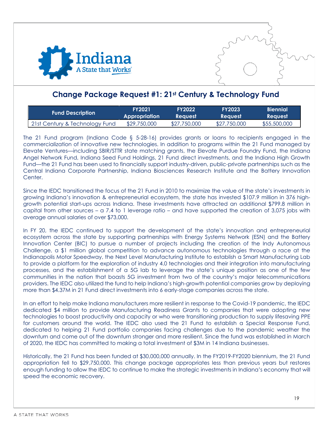



## <span id="page-18-0"></span>**Change Package Request #1: 21st Century & Technology Fund**

| <b>Fund Description</b>        | <b>FY2021</b> | <b>FY2022</b>  | <b>FY2023</b>  | <b>Biennial</b> |
|--------------------------------|---------------|----------------|----------------|-----------------|
|                                | Appropriation | <b>Reauest</b> | <b>Request</b> | <b>Reauest</b>  |
| 21st Century & Technology Fund | \$29,750,000  | \$27,750,000   | \$27,750,000   | \$55,500,000    |

The 21 Fund program (Indiana Code § 5-28-16) provides grants or loans to recipients engaged in the commercialization of innovative new technologies. In addition to programs within the 21 Fund managed by Elevate Ventures—including SBIR/STTR state matching grants, the Elevate Purdue Foundry Fund, the Indiana Angel Network Fund, Indiana Seed Fund Holdings, 21 Fund direct investments, and the Indiana High Growth Fund—the 21 Fund has been used to financially support industry-driven, public-private partnerships such as the Central Indiana Corporate Partnership, Indiana Biosciences Research Institute and the Battery Innovation Center.

Since the IEDC transitioned the focus of the 21 Fund in 2010 to maximize the value of the state's investments in growing Indiana's innovation & entrepreneurial ecosystem, the state has invested \$107.9 million in 376 highgrowth potential start-ups across Indiana. These investments have attracted an additional \$799.8 million in capital from other sources – a 7.4 to 1 leverage ratio – and have supported the creation of 3,075 jobs with average annual salaries of over \$73,000.

In FY 20, the IEDC continued to support the development of the state's innovation and entrepreneurial ecosystem across the state by supporting partnerships with Energy Systems Network (ESN) and the Battery Innovation Center (BIC) to pursue a number of projects including the creation of the Indy Autonomous Challenge, a \$1 million global competition to advance autonomous technologies through a race at the Indianapolis Motor Speedway, the Next Level Manufacturing Institute to establish a Smart Manufacturing Lab to provide a platform for the exploration of industry 4.0 technologies and their integration into manufacturing processes, and the establishment of a 5G lab to leverage the state's unique position as one of the few communities in the nation that boasts 5G investment from two of the country's major telecommunications providers. The IEDC also utilized the fund to help Indiana's high-growth potential companies grow by deploying more than \$4.37M in 21 Fund direct investments into 6 early-stage companies across the state.

In an effort to help make Indiana manufacturers more resilient in response to the Covid-19 pandemic, the IEDC dedicated \$4 million to provide Manufacturing Readiness Grants to companies that were adopting new technologies to boost productivity and capacity or who were transitioning production to supply lifesaving PPE for customers around the world. The IEDC also used the 21 Fund to establish a Special Response Fund, dedicated to helping 21 Fund portfolio companies facing challenges due to the pandemic weather the downturn and come out of the downturn stronger and more resilient. Since the fund was established in March of 2020, the IEDC has committed to making a total investment of \$3M in 14 Indiana businesses.

Historically, the 21 Fund has been funded at \$30,000,000 annually. In the FY2019-FY2020 biennium, the 21 Fund appropriation fell to \$29,750,000. This change package appropriates less than previous years but restores enough funding to allow the IEDC to continue to make the strategic investments in Indiana's economy that will speed the economic recovery.